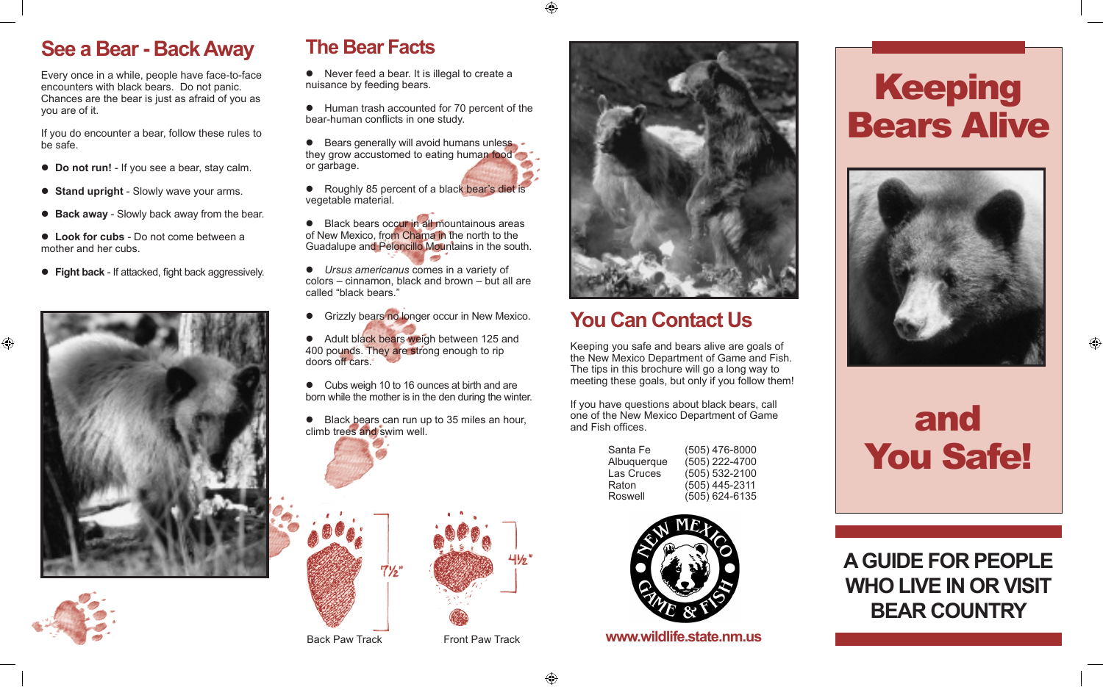#### **See a Bear - Back Away**

Every once in a while, people have face-to-face encounters with black bears. Do not panic. Chances are the bear is just as afraid of you as you are of it.

If you do encounter a bear, follow these rules to be safe.

- **Do not run!** If you see a bear, stay calm.
- **Stand upright** Slowly wave your arms.
- **Back away** Slowly back away from the bear.
- **Look for cubs** Do not come between a mother and her cubs.
- **Fight back** If attacked, fight back aggressively.





⊕



## **The Bear Facts**

- $\bullet$  Never feed a bear. It is illegal to create a nuisance by feeding bears.
- $\bullet$  Human trash accounted for 70 percent of the bear-human conflicts in one study.

 $\bullet$  Bears generally will avoid humans unless. they grow accustomed to eating human food or garbage.

● Roughly 85 percent of a black bear's diet is vegetable material.

● Black bears occur in all mountainous areas of New Mexico, from Chama in the north to the Guadalupe and Peloncillo Mountains in the south.

**•** Ursus americanus comes in a variety of  $color = cinnamon$ , black and brown  $-$  but all are called "black bears."

- **•** Grizzly bears no longer occur in New Mexico.
- Adult black bears weigh between 125 and 400 pounds. They are strong enough to rip doors off cars.

• Cubs weigh 10 to 16 ounces at birth and are born while the mother is in the den during the winter.

 $\bullet$  Black bears can run up to 35 miles an hour, climb trees and swim well.





# **You Can Contact Us**

Keeping you safe and bears alive are goals of the New Mexico Department of Game and Fish. The tips in this brochure will go a long way to meeting these goals, but only if you follow them!

If you have questions about black bears, call one of the New Mexico Department of Game and Fish offices.

| Santa Fe    | $(505)$ 476-8000 |
|-------------|------------------|
| Albuquerque | (505) 222-4700   |
| Las Cruces  | (505) 532-2100   |
| Raton       | (505) 445-2311   |
| Roswell     | (505) 624-6135   |



Back Paw Track Front Paw Track **www.wildlife.state.nm.us** 

# Keeping Bears Alive



# and You Safe!

# **A GUIDE FOR PEOPLE WHO LIVE IN OR VISIT BEAR COUNTRY**

⊕